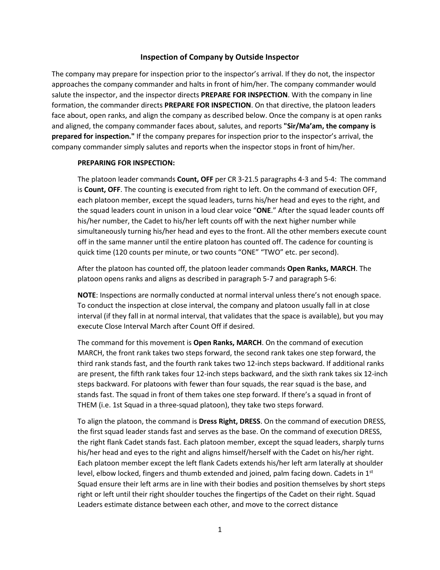## **Inspection of Company by Outside Inspector**

The company may prepare for inspection prior to the inspector's arrival. If they do not, the inspector approaches the company commander and halts in front of him/her. The company commander would salute the inspector, and the inspector directs **PREPARE FOR INSPECTION**. With the company in line formation, the commander directs **PREPARE FOR INSPECTION**. On that directive, the platoon leaders face about, open ranks, and align the company as described below. Once the company is at open ranks and aligned, the company commander faces about, salutes, and reports **"Sir/Ma'am, the company is prepared for inspection."** If the company prepares for inspection prior to the inspector's arrival, the company commander simply salutes and reports when the inspector stops in front of him/her.

## **PREPARING FOR INSPECTION:**

The platoon leader commands **Count, OFF** per CR 3-21.5 paragraphs 4-3 and 5-4: The command is **Count, OFF**. The counting is executed from right to left. On the command of execution OFF, each platoon member, except the squad leaders, turns his/her head and eyes to the right, and the squad leaders count in unison in a loud clear voice "**ONE**." After the squad leader counts off his/her number, the Cadet to his/her left counts off with the next higher number while simultaneously turning his/her head and eyes to the front. All the other members execute count off in the same manner until the entire platoon has counted off. The cadence for counting is quick time (120 counts per minute, or two counts "ONE" "TWO" etc. per second).

After the platoon has counted off, the platoon leader commands **Open Ranks, MARCH**. The platoon opens ranks and aligns as described in paragraph 5-7 and paragraph 5-6:

**NOTE**: Inspections are normally conducted at normal interval unless there's not enough space. To conduct the inspection at close interval, the company and platoon usually fall in at close interval (if they fall in at normal interval, that validates that the space is available), but you may execute Close Interval March after Count Off if desired.

The command for this movement is **Open Ranks, MARCH**. On the command of execution MARCH, the front rank takes two steps forward, the second rank takes one step forward, the third rank stands fast, and the fourth rank takes two 12-inch steps backward. If additional ranks are present, the fifth rank takes four 12-inch steps backward, and the sixth rank takes six 12-inch steps backward. For platoons with fewer than four squads, the rear squad is the base, and stands fast. The squad in front of them takes one step forward. If there's a squad in front of THEM (i.e. 1st Squad in a three-squad platoon), they take two steps forward.

To align the platoon, the command is **Dress Right, DRESS**. On the command of execution DRESS, the first squad leader stands fast and serves as the base. On the command of execution DRESS, the right flank Cadet stands fast. Each platoon member, except the squad leaders, sharply turns his/her head and eyes to the right and aligns himself/herself with the Cadet on his/her right. Each platoon member except the left flank Cadets extends his/her left arm laterally at shoulder level, elbow locked, fingers and thumb extended and joined, palm facing down. Cadets in  $1<sup>st</sup>$ Squad ensure their left arms are in line with their bodies and position themselves by short steps right or left until their right shoulder touches the fingertips of the Cadet on their right. Squad Leaders estimate distance between each other, and move to the correct distance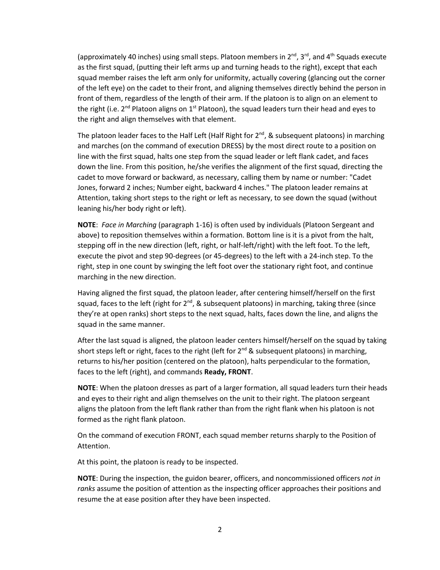(approximately 40 inches) using small steps. Platoon members in  $2<sup>nd</sup>$ ,  $3<sup>rd</sup>$ , and  $4<sup>th</sup>$  Squads execute as the first squad, (putting their left arms up and turning heads to the right), except that each squad member raises the left arm only for uniformity, actually covering (glancing out the corner of the left eye) on the cadet to their front, and aligning themselves directly behind the person in front of them, regardless of the length of their arm. If the platoon is to align on an element to the right (i.e.  $2^{nd}$  Platoon aligns on  $1^{st}$  Platoon), the squad leaders turn their head and eyes to the right and align themselves with that element.

The platoon leader faces to the Half Left (Half Right for  $2^{nd}$ , & subsequent platoons) in marching and marches (on the command of execution DRESS) by the most direct route to a position on line with the first squad, halts one step from the squad leader or left flank cadet, and faces down the line. From this position, he/she verifies the alignment of the first squad, directing the cadet to move forward or backward, as necessary, calling them by name or number: "Cadet Jones, forward 2 inches; Number eight, backward 4 inches." The platoon leader remains at Attention, taking short steps to the right or left as necessary, to see down the squad (without leaning his/her body right or left).

**NOTE**: *Face in Marching* (paragraph 1-16) is often used by individuals (Platoon Sergeant and above) to reposition themselves within a formation. Bottom line is it is a pivot from the halt, stepping off in the new direction (left, right, or half-left/right) with the left foot. To the left, execute the pivot and step 90-degrees (or 45-degrees) to the left with a 24-inch step. To the right, step in one count by swinging the left foot over the stationary right foot, and continue marching in the new direction.

Having aligned the first squad, the platoon leader, after centering himself/herself on the first squad, faces to the left (right for  $2^{nd}$ , & subsequent platoons) in marching, taking three (since they're at open ranks) short steps to the next squad, halts, faces down the line, and aligns the squad in the same manner.

After the last squad is aligned, the platoon leader centers himself/herself on the squad by taking short steps left or right, faces to the right (left for  $2^{nd}$  & subsequent platoons) in marching, returns to his/her position (centered on the platoon), halts perpendicular to the formation, faces to the left (right), and commands **Ready, FRONT**.

**NOTE**: When the platoon dresses as part of a larger formation, all squad leaders turn their heads and eyes to their right and align themselves on the unit to their right. The platoon sergeant aligns the platoon from the left flank rather than from the right flank when his platoon is not formed as the right flank platoon.

On the command of execution FRONT, each squad member returns sharply to the Position of Attention.

At this point, the platoon is ready to be inspected.

**NOTE**: During the inspection, the guidon bearer, officers, and noncommissioned officers *not in ranks* assume the position of attention as the inspecting officer approaches their positions and resume the at ease position after they have been inspected.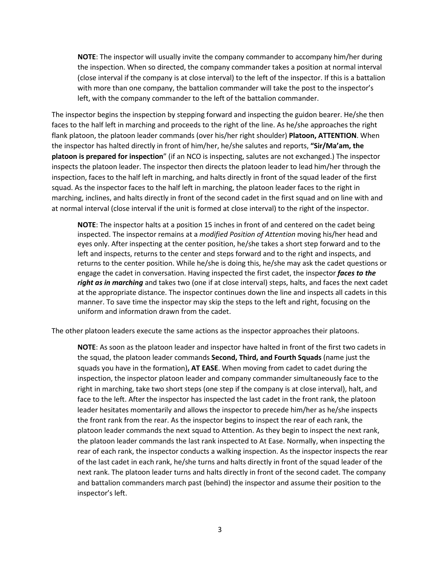**NOTE**: The inspector will usually invite the company commander to accompany him/her during the inspection. When so directed, the company commander takes a position at normal interval (close interval if the company is at close interval) to the left of the inspector. If this is a battalion with more than one company, the battalion commander will take the post to the inspector's left, with the company commander to the left of the battalion commander.

The inspector begins the inspection by stepping forward and inspecting the guidon bearer. He/she then faces to the half left in marching and proceeds to the right of the line. As he/she approaches the right flank platoon, the platoon leader commands (over his/her right shoulder) **Platoon, ATTENTION**. When the inspector has halted directly in front of him/her, he/she salutes and reports, **"Sir/Ma'am, the platoon is prepared for inspection**" (if an NCO is inspecting, salutes are not exchanged.) The inspector inspects the platoon leader. The inspector then directs the platoon leader to lead him/her through the inspection, faces to the half left in marching, and halts directly in front of the squad leader of the first squad. As the inspector faces to the half left in marching, the platoon leader faces to the right in marching, inclines, and halts directly in front of the second cadet in the first squad and on line with and at normal interval (close interval if the unit is formed at close interval) to the right of the inspector.

**NOTE**: The inspector halts at a position 15 inches in front of and centered on the cadet being inspected. The inspector remains at a *modified Position of Attention* moving his/her head and eyes only. After inspecting at the center position, he/she takes a short step forward and to the left and inspects, returns to the center and steps forward and to the right and inspects, and returns to the center position. While he/she is doing this, he/she may ask the cadet questions or engage the cadet in conversation. Having inspected the first cadet, the inspector *faces to the right as in marching* and takes two (one if at close interval) steps, halts, and faces the next cadet at the appropriate distance. The inspector continues down the line and inspects all cadets in this manner. To save time the inspector may skip the steps to the left and right, focusing on the uniform and information drawn from the cadet.

The other platoon leaders execute the same actions as the inspector approaches their platoons.

**NOTE**: As soon as the platoon leader and inspector have halted in front of the first two cadets in the squad, the platoon leader commands **Second, Third, and Fourth Squads** (name just the squads you have in the formation)**, AT EASE**. When moving from cadet to cadet during the inspection, the inspector platoon leader and company commander simultaneously face to the right in marching, take two short steps (one step if the company is at close interval), halt, and face to the left. After the inspector has inspected the last cadet in the front rank, the platoon leader hesitates momentarily and allows the inspector to precede him/her as he/she inspects the front rank from the rear. As the inspector begins to inspect the rear of each rank, the platoon leader commands the next squad to Attention. As they begin to inspect the next rank, the platoon leader commands the last rank inspected to At Ease. Normally, when inspecting the rear of each rank, the inspector conducts a walking inspection. As the inspector inspects the rear of the last cadet in each rank, he/she turns and halts directly in front of the squad leader of the next rank. The platoon leader turns and halts directly in front of the second cadet. The company and battalion commanders march past (behind) the inspector and assume their position to the inspector's left.